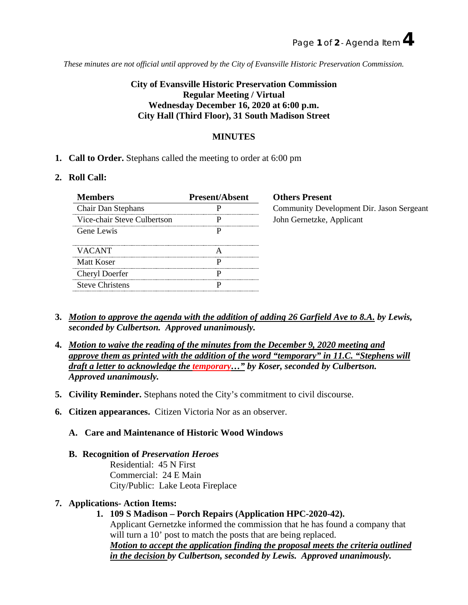*These minutes are not official until approved by the City of Evansville Historic Preservation Commission.*

# **City of Evansville Historic Preservation Commission Regular Meeting / Virtual Wednesday December 16, 2020 at 6:00 p.m. City Hall (Third Floor), 31 South Madison Street**

## **MINUTES**

**1. Call to Order.** Stephans called the meeting to order at 6:00 pm

#### **2. Roll Call:**

| <b>Members</b>              | <b>Present/Absent</b> |
|-----------------------------|-----------------------|
| Chair Dan Stephans          |                       |
| Vice-chair Steve Culbertson |                       |
| Gene Lewis                  |                       |
|                             |                       |
| <b>VACANT</b>               |                       |
| Matt Koser                  |                       |
| Cheryl Doerfer              |                       |
| <b>Steve Christens</b>      |                       |

**Others Present** Community Development Dir. Jason Sergeant John Gernetzke, Applicant

- **3.** *Motion to approve the agenda with the addition of adding 26 Garfield Ave to 8.A. by Lewis, seconded by Culbertson. Approved unanimously.*
- **4.** *Motion to waive the reading of the minutes from the December 9, 2020 meeting and approve them as printed with the addition of the word "temporary" in 11.C. "Stephens will draft a letter to acknowledge the temporary…" by Koser, seconded by Culbertson. Approved unanimously.*
- **5. Civility Reminder.** Stephans noted the City's commitment to civil discourse.
- **6. Citizen appearances.** Citizen Victoria Nor as an observer.
	- **A. Care and Maintenance of Historic Wood Windows**
	- **B. Recognition of** *Preservation Heroes*

Residential: 45 N First Commercial: 24 E Main City/Public: Lake Leota Fireplace

## **7. Applications- Action Items:**

**1. 109 S Madison – Porch Repairs (Application HPC-2020-42).** Applicant Gernetzke informed the commission that he has found a company that will turn a 10<sup>'</sup> post to match the posts that are being replaced. *Motion to accept the application finding the proposal meets the criteria outlined* 

*in the decision by Culbertson, seconded by Lewis. Approved unanimously.*